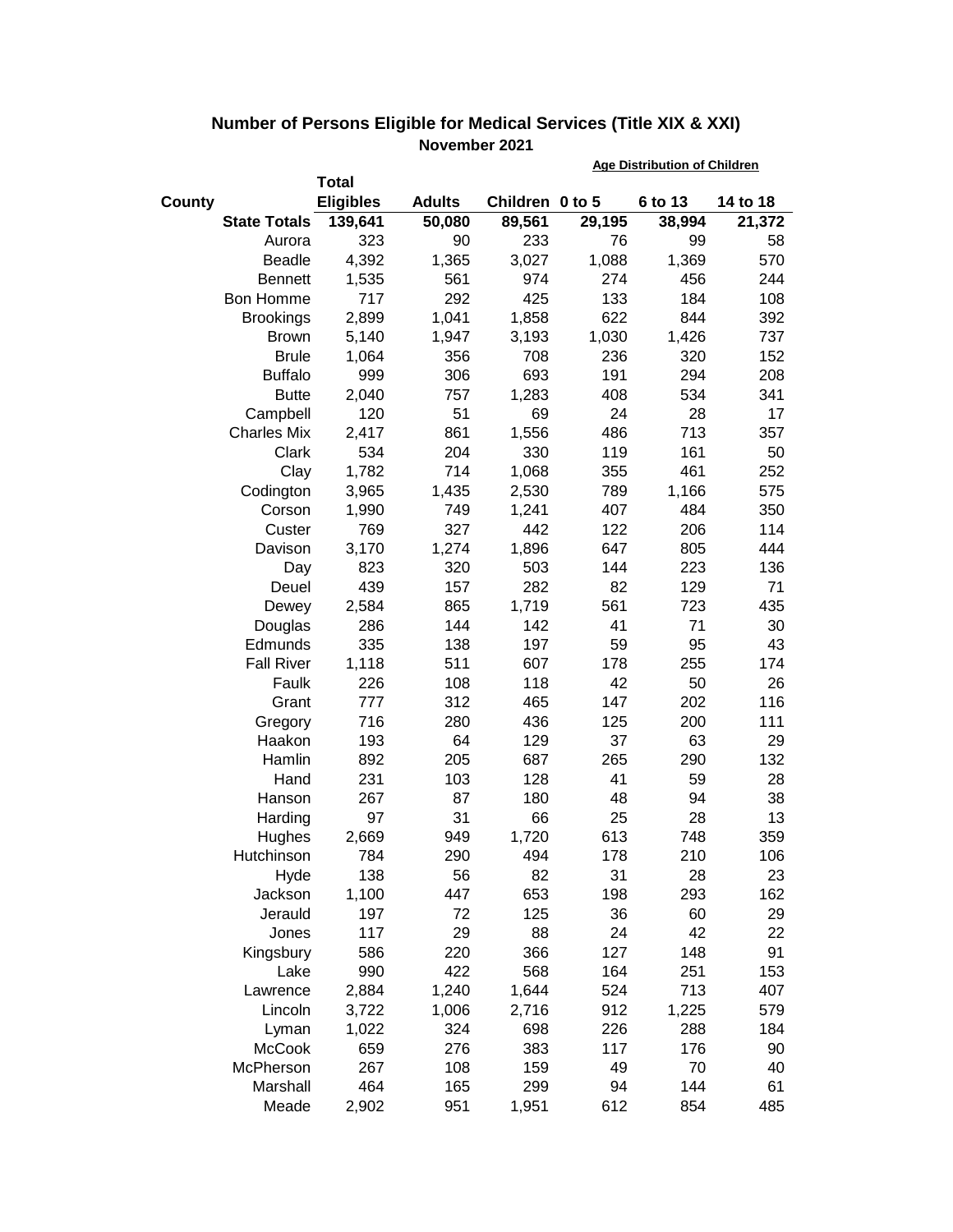|                     |                  |               |                 | <b>Age Distribution of Children</b> |         |          |  |
|---------------------|------------------|---------------|-----------------|-------------------------------------|---------|----------|--|
|                     | <b>Total</b>     |               |                 |                                     |         |          |  |
| County              | <b>Eligibles</b> | <b>Adults</b> | Children 0 to 5 |                                     | 6 to 13 | 14 to 18 |  |
| <b>State Totals</b> | 139,641          | 50,080        | 89,561          | 29,195                              | 38,994  | 21,372   |  |
| Aurora              | 323              | 90            | 233             | 76                                  | 99      | 58       |  |
| <b>Beadle</b>       | 4,392            | 1,365         | 3,027           | 1,088                               | 1,369   | 570      |  |
| <b>Bennett</b>      | 1,535            | 561           | 974             | 274                                 | 456     | 244      |  |
| Bon Homme           | 717              | 292           | 425             | 133                                 | 184     | 108      |  |
| <b>Brookings</b>    | 2,899            | 1,041         | 1,858           | 622                                 | 844     | 392      |  |
| <b>Brown</b>        | 5,140            | 1,947         | 3,193           | 1,030                               | 1,426   | 737      |  |
| <b>Brule</b>        | 1,064            | 356           | 708             | 236                                 | 320     | 152      |  |
| <b>Buffalo</b>      | 999              | 306           | 693             | 191                                 | 294     | 208      |  |
| <b>Butte</b>        | 2,040            | 757           | 1,283           | 408                                 | 534     | 341      |  |
| Campbell            | 120              | 51            | 69              | 24                                  | 28      | 17       |  |
| <b>Charles Mix</b>  | 2,417            | 861           | 1,556           | 486                                 | 713     | 357      |  |
| Clark               | 534              | 204           | 330             | 119                                 | 161     | 50       |  |
| Clay                | 1,782            | 714           | 1,068           | 355                                 | 461     | 252      |  |
| Codington           | 3,965            | 1,435         | 2,530           | 789                                 | 1,166   | 575      |  |
| Corson              | 1,990            | 749           | 1,241           | 407                                 | 484     | 350      |  |
| Custer              | 769              | 327           | 442             | 122                                 | 206     | 114      |  |
| Davison             | 3,170            | 1,274         | 1,896           | 647                                 | 805     | 444      |  |
| Day                 | 823              | 320           | 503             | 144                                 | 223     | 136      |  |
| Deuel               | 439              | 157           | 282             | 82                                  | 129     | 71       |  |
| Dewey               | 2,584            | 865           | 1,719           | 561                                 | 723     | 435      |  |
| Douglas             | 286              | 144           | 142             | 41                                  | 71      | 30       |  |
| Edmunds             | 335              | 138           | 197             | 59                                  | 95      | 43       |  |
| <b>Fall River</b>   | 1,118            | 511           | 607             | 178                                 | 255     | 174      |  |
| Faulk               | 226              | 108           | 118             | 42                                  | 50      | 26       |  |
| Grant               | 777              | 312           | 465             | 147                                 | 202     | 116      |  |
| Gregory             | 716              | 280           | 436             | 125                                 | 200     | 111      |  |
| Haakon              | 193              | 64            | 129             | 37                                  | 63      | 29       |  |
| Hamlin              | 892              | 205           | 687             | 265                                 | 290     | 132      |  |
| Hand                | 231              | 103           | 128             | 41                                  | 59      | 28       |  |
| Hanson              | 267              | 87            | 180             | 48                                  | 94      | 38       |  |
| Harding             | 97               | 31            | 66              | 25                                  | 28      | 13       |  |
| Hughes              | 2,669            | 949           | 1,720           | 613                                 | 748     | 359      |  |
| Hutchinson          | 784              | 290           | 494             | 178                                 | 210     | 106      |  |
| Hyde                | 138              | 56            | 82              | 31                                  | 28      | 23       |  |
| Jackson             | 1,100            | 447           | 653             | 198                                 | 293     | 162      |  |
| Jerauld             | 197              | 72            | 125             | 36                                  | 60      | 29       |  |
| Jones               | 117              | 29            | 88              | 24                                  | 42      | 22       |  |
| Kingsbury           | 586              | 220           | 366             | 127                                 | 148     | 91       |  |
| Lake                | 990              | 422           | 568             | 164                                 | 251     | 153      |  |
| Lawrence            | 2,884            | 1,240         | 1,644           | 524                                 | 713     | 407      |  |
| Lincoln             | 3,722            | 1,006         | 2,716           | 912                                 | 1,225   | 579      |  |
| Lyman               | 1,022            | 324           | 698             | 226                                 | 288     | 184      |  |
| <b>McCook</b>       | 659              | 276           | 383             | 117                                 | 176     | 90       |  |
| McPherson           | 267              | 108           | 159             | 49                                  | 70      | 40       |  |
| Marshall            | 464              | 165           | 299             | 94                                  | 144     | 61       |  |
| Meade               | 2,902            | 951           | 1,951           | 612                                 | 854     | 485      |  |

## **Number of Persons Eligible for Medical Services (Title XIX & XXI) November 2021**